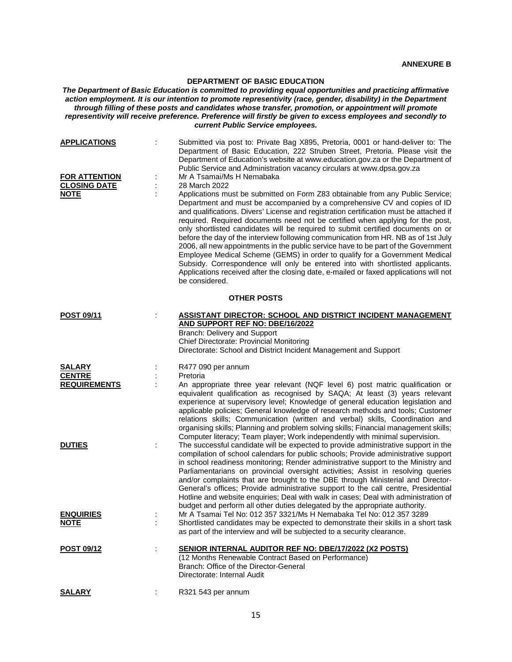## **DEPARTMENT OF BASIC EDUCATION**

*The Department of Basic Education is committed to providing equal opportunities and practicing affirmative action employment. It is our intention to promote representivity (race, gender, disability) in the Department through filling of these posts and candidates whose transfer, promotion, or appointment will promote representivity will receive preference. Preference will firstly be given to excess employees and secondly to current Public Service employees.*

| <b>APPLICATIONS</b><br><b>FOR ATTENTION</b><br><b>CLOSING DATE</b><br><b>NOTE</b> |   | Submitted via post to: Private Bag X895, Pretoria, 0001 or hand-deliver to: The<br>Department of Basic Education, 222 Struben Street, Pretoria. Please visit the<br>Department of Education's website at www.education.gov.za or the Department of<br>Public Service and Administration vacancy circulars at www.dpsa.gov.za<br>Mr A Tsamai/Ms H Nemabaka<br>28 March 2022<br>Applications must be submitted on Form Z83 obtainable from any Public Service;<br>Department and must be accompanied by a comprehensive CV and copies of ID<br>and qualifications. Divers' License and registration certification must be attached if<br>required. Required documents need not be certified when applying for the post,<br>only shortlisted candidates will be required to submit certified documents on or<br>before the day of the interview following communication from HR. NB as of 1st July<br>2006, all new appointments in the public service have to be part of the Government<br>Employee Medical Scheme (GEMS) in order to qualify for a Government Medical<br>Subsidy. Correspondence will only be entered into with shortlisted applicants.<br>Applications received after the closing date, e-mailed or faxed applications will not<br>be considered. |  |  |
|-----------------------------------------------------------------------------------|---|-------------------------------------------------------------------------------------------------------------------------------------------------------------------------------------------------------------------------------------------------------------------------------------------------------------------------------------------------------------------------------------------------------------------------------------------------------------------------------------------------------------------------------------------------------------------------------------------------------------------------------------------------------------------------------------------------------------------------------------------------------------------------------------------------------------------------------------------------------------------------------------------------------------------------------------------------------------------------------------------------------------------------------------------------------------------------------------------------------------------------------------------------------------------------------------------------------------------------------------------------------------------|--|--|
| <b>OTHER POSTS</b>                                                                |   |                                                                                                                                                                                                                                                                                                                                                                                                                                                                                                                                                                                                                                                                                                                                                                                                                                                                                                                                                                                                                                                                                                                                                                                                                                                                   |  |  |
| POST 09/11                                                                        |   | <b>ASSISTANT DIRECTOR: SCHOOL AND DISTRICT INCIDENT MANAGEMENT</b><br>AND SUPPORT REF NO: DBE/16/2022<br><b>Branch: Delivery and Support</b><br>Chief Directorate: Provincial Monitoring<br>Directorate: School and District Incident Management and Support                                                                                                                                                                                                                                                                                                                                                                                                                                                                                                                                                                                                                                                                                                                                                                                                                                                                                                                                                                                                      |  |  |
| <b>SALARY</b><br><b>CENTRE</b>                                                    |   | R477 090 per annum<br>Pretoria                                                                                                                                                                                                                                                                                                                                                                                                                                                                                                                                                                                                                                                                                                                                                                                                                                                                                                                                                                                                                                                                                                                                                                                                                                    |  |  |
| <b>REQUIREMENTS</b>                                                               |   | An appropriate three year relevant (NQF level 6) post matric qualification or<br>equivalent qualification as recognised by SAQA; At least (3) years relevant<br>experience at supervisory level; Knowledge of general education legislation and<br>applicable policies; General knowledge of research methods and tools; Customer<br>relations skills; Communication (written and verbal) skills, Coordination and<br>organising skills; Planning and problem solving skills; Financial management skills;<br>Computer literacy; Team player; Work independently with minimal supervision.                                                                                                                                                                                                                                                                                                                                                                                                                                                                                                                                                                                                                                                                        |  |  |
| <b>DUTIES</b>                                                                     | ÷ | The successful candidate will be expected to provide administrative support in the<br>compilation of school calendars for public schools; Provide administrative support<br>in school readiness monitoring; Render administrative support to the Ministry and<br>Parliamentarians on provincial oversight activities; Assist in resolving queries<br>and/or complaints that are brought to the DBE through Ministerial and Director-<br>General's offices; Provide administrative support to the call centre, Presidential<br>Hotline and website enquiries; Deal with walk in cases; Deal with administration of<br>budget and perform all other duties delegated by the appropriate authority.                                                                                                                                                                                                                                                                                                                                                                                                                                                                                                                                                                  |  |  |
| <b>ENQUIRIES</b><br><b>NOTE</b>                                                   |   | Mr A Tsamai Tel No: 012 357 3321/Ms H Nemabaka Tel No: 012 357 3289<br>Shortlisted candidates may be expected to demonstrate their skills in a short task<br>as part of the interview and will be subjected to a security clearance.                                                                                                                                                                                                                                                                                                                                                                                                                                                                                                                                                                                                                                                                                                                                                                                                                                                                                                                                                                                                                              |  |  |
| <b>POST 09/12</b>                                                                 | ÷ | <b>SENIOR INTERNAL AUDITOR REF NO: DBE/17/2022 (X2 POSTS)</b><br>(12 Months Renewable Contract Based on Performance)<br>Branch: Office of the Director-General<br>Directorate: Internal Audit                                                                                                                                                                                                                                                                                                                                                                                                                                                                                                                                                                                                                                                                                                                                                                                                                                                                                                                                                                                                                                                                     |  |  |
| <b>SALARY</b>                                                                     | ÷ | R321 543 per annum                                                                                                                                                                                                                                                                                                                                                                                                                                                                                                                                                                                                                                                                                                                                                                                                                                                                                                                                                                                                                                                                                                                                                                                                                                                |  |  |